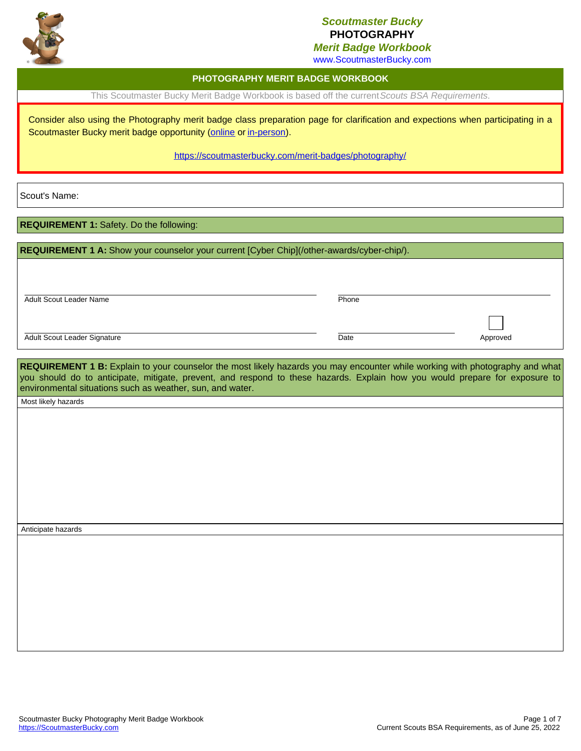

## *Scoutmaster Bucky* **PHOTOGRAPHY**

*Merit Badge Workbook*

Date Approved

www.ScoutmasterBucky.com

### **PHOTOGRAPHY MERIT BADGE WORKBOOK**

This Scoutmaster Bucky Merit Badge Workbook is based off the current*Scouts BSA Requirements*.

Consider also using the Photography merit badge class preparation page for clarification and expections when participating in a Scoutmaster Bucky merit badge opportunity ([online](http://localhost:8080/merit-badges/photography/?notes=online) or [in-person](http://localhost:8080/merit-badges/photography/?notes=inPerson)).

#### <https://scoutmasterbucky.com/merit-badges/photography/>

Scout's Name:

**REQUIREMENT 1:** Safety. Do the following:

| REQUIREMENT 1 A: Show your counselor your current [Cyber Chip](/other-awards/cyber-chip/). |       |  |
|--------------------------------------------------------------------------------------------|-------|--|
|                                                                                            |       |  |
| <b>Adult Scout Leader Name</b>                                                             | Phone |  |
|                                                                                            |       |  |

Adult Scout Leader Signature

**REQUIREMENT 1 B:** Explain to your counselor the most likely hazards you may encounter while working with photography and what you should do to anticipate, mitigate, prevent, and respond to these hazards. Explain how you would prepare for exposure to environmental situations such as weather, sun, and water.

Most likely hazards

Anticipate hazards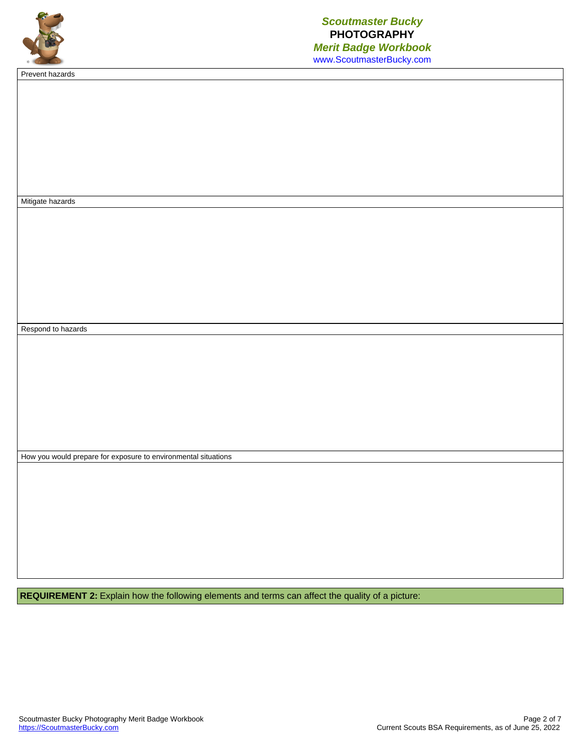

Prevent hazards

Mitigate hazards Respond to hazards How you would prepare for exposure to environmental situations

**REQUIREMENT 2:** Explain how the following elements and terms can affect the quality of a picture: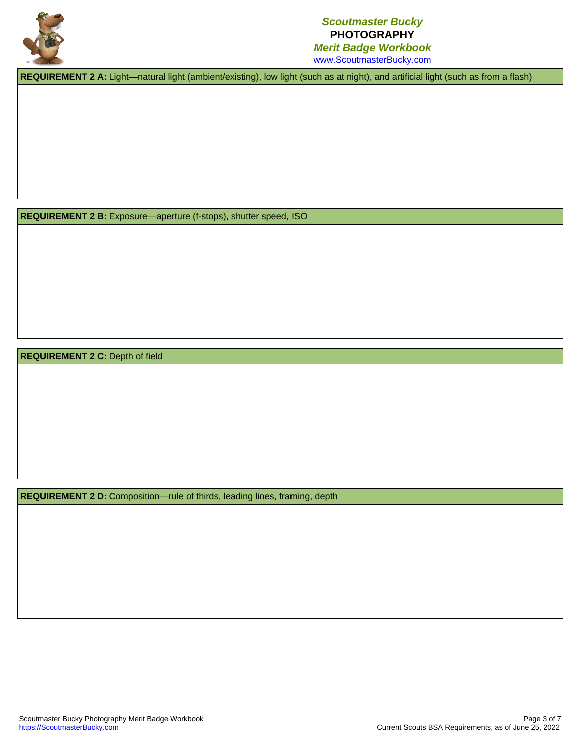

## *Scoutmaster Bucky* **PHOTOGRAPHY** *Merit Badge Workbook*

www.ScoutmasterBucky.com

**REQUIREMENT 2 A:** Light—natural light (ambient/existing), low light (such as at night), and artificial light (such as from a flash)

**REQUIREMENT 2 B:** Exposure—aperture (f-stops), shutter speed, ISO

**REQUIREMENT 2 C:** Depth of field

**REQUIREMENT 2 D:** Composition—rule of thirds, leading lines, framing, depth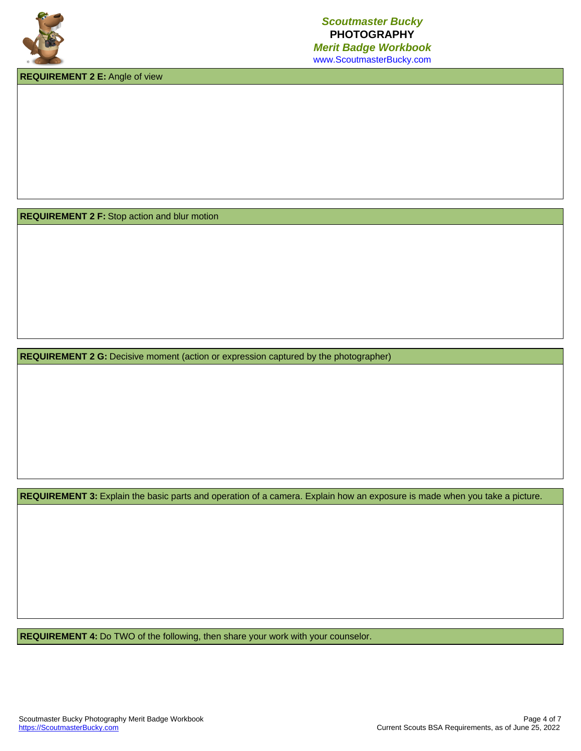

**REQUIREMENT 2 E:** Angle of view

**REQUIREMENT 2 F:** Stop action and blur motion

**REQUIREMENT 2 G:** Decisive moment (action or expression captured by the photographer)

**REQUIREMENT 3:** Explain the basic parts and operation of a camera. Explain how an exposure is made when you take a picture.

**REQUIREMENT 4:** Do TWO of the following, then share your work with your counselor.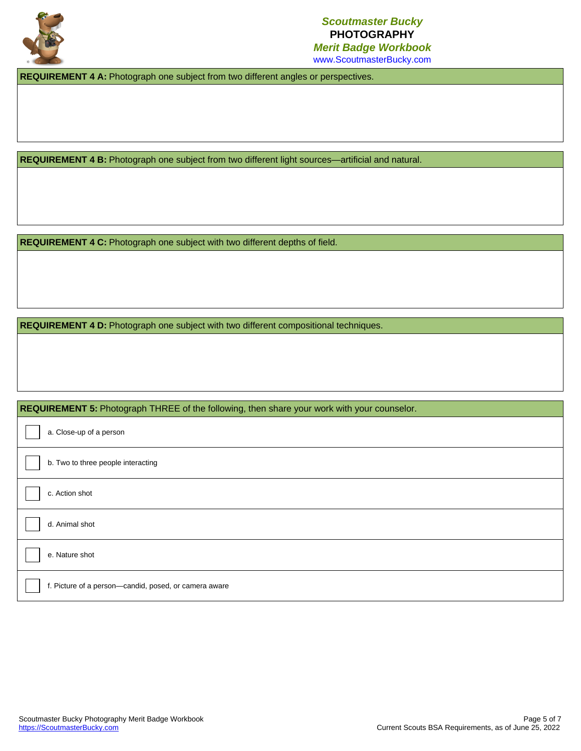

## *Scoutmaster Bucky* **PHOTOGRAPHY** *Merit Badge Workbook*

www.ScoutmasterBucky.com

**REQUIREMENT 4 A:** Photograph one subject from two different angles or perspectives.

**REQUIREMENT 4 B:** Photograph one subject from two different light sources—artificial and natural.

**REQUIREMENT 4 C:** Photograph one subject with two different depths of field.

**REQUIREMENT 4 D:** Photograph one subject with two different compositional techniques.

### **REQUIREMENT 5:** Photograph THREE of the following, then share your work with your counselor.

| a. Close-up of a person                               |
|-------------------------------------------------------|
| b. Two to three people interacting                    |
| c. Action shot                                        |
| d. Animal shot                                        |
| e. Nature shot                                        |
| f. Picture of a person-candid, posed, or camera aware |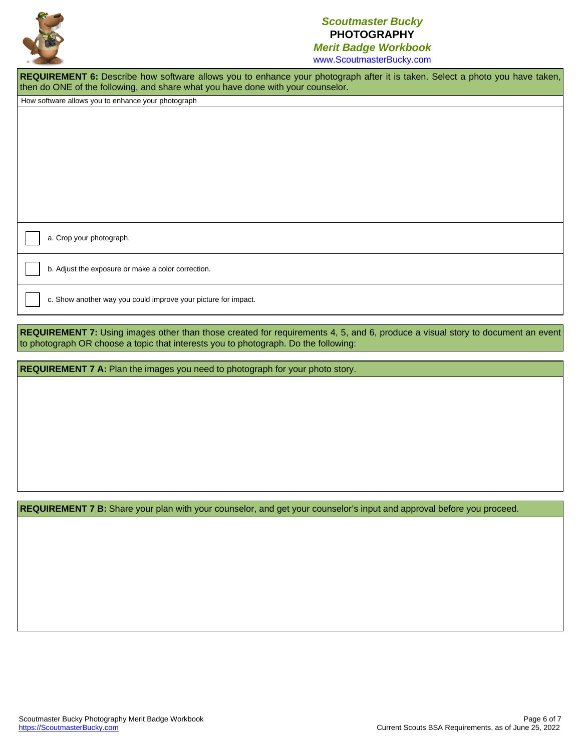

## *Scoutmaster Bucky* **PHOTOGRAPHY**

*Merit Badge Workbook* www.ScoutmasterBucky.com

REQUIREMENT 6: Describe how software allows you to enhance your photograph after it is taken. Select a photo you have taken, then do ONE of the following, and share what you have done with your counselor.

How software allows you to enhance your photograph

a. Crop your photograph.

b. Adjust the exposure or make a color correction.

c. Show another way you could improve your picture for impact.

**REQUIREMENT** 7: Using images other than those created for requirements 4, 5, and 6, produce a visual story to document an event to photograph OR choose a topic that interests you to photograph. Do the following:

**REQUIREMENT 7 A:** Plan the images you need to photograph for your photo story.

**REQUIREMENT 7 B:** Share your plan with your counselor, and get your counselor's input and approval before you proceed.